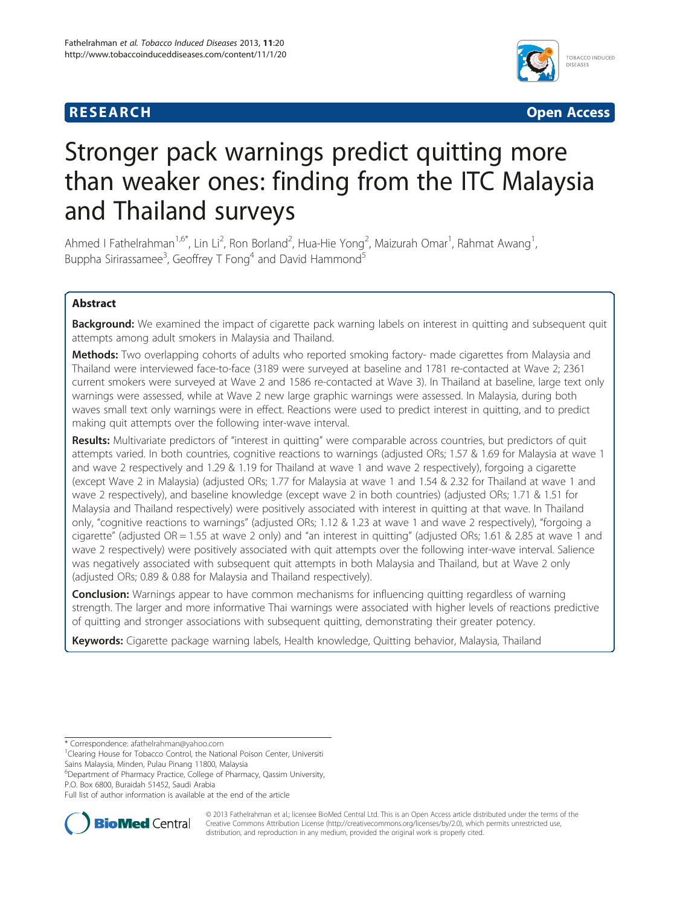## **RESEARCH RESEARCH** *CHECKER CHECKER CHECKER CHECKER CHECKER CHECKER CHECKER CHECKER CHECKER CHECKER CHECKER*



# Stronger pack warnings predict quitting more than weaker ones: finding from the ITC Malaysia and Thailand surveys

Ahmed I Fathelrahman<sup>1,6\*</sup>, Lin Li<sup>2</sup>, Ron Borland<sup>2</sup>, Hua-Hie Yong<sup>2</sup>, Maizurah Omar<sup>1</sup>, Rahmat Awang<sup>1</sup> , Buppha Sirirassamee<sup>3</sup>, Geoffrey T Fong<sup>4</sup> and David Hammond<sup>5</sup>

## Abstract

Background: We examined the impact of cigarette pack warning labels on interest in quitting and subsequent quit attempts among adult smokers in Malaysia and Thailand.

**Methods:** Two overlapping cohorts of adults who reported smoking factory- made cigarettes from Malaysia and Thailand were interviewed face-to-face (3189 were surveyed at baseline and 1781 re-contacted at Wave 2; 2361 current smokers were surveyed at Wave 2 and 1586 re-contacted at Wave 3). In Thailand at baseline, large text only warnings were assessed, while at Wave 2 new large graphic warnings were assessed. In Malaysia, during both waves small text only warnings were in effect. Reactions were used to predict interest in quitting, and to predict making quit attempts over the following inter-wave interval.

Results: Multivariate predictors of "interest in quitting" were comparable across countries, but predictors of quit attempts varied. In both countries, cognitive reactions to warnings (adjusted ORs; 1.57 & 1.69 for Malaysia at wave 1 and wave 2 respectively and 1.29 & 1.19 for Thailand at wave 1 and wave 2 respectively), forgoing a cigarette (except Wave 2 in Malaysia) (adjusted ORs; 1.77 for Malaysia at wave 1 and 1.54 & 2.32 for Thailand at wave 1 and wave 2 respectively), and baseline knowledge (except wave 2 in both countries) (adjusted ORs; 1.71 & 1.51 for Malaysia and Thailand respectively) were positively associated with interest in quitting at that wave. In Thailand only, "cognitive reactions to warnings" (adjusted ORs; 1.12 & 1.23 at wave 1 and wave 2 respectively), "forgoing a cigarette" (adjusted OR = 1.55 at wave 2 only) and "an interest in quitting" (adjusted ORs; 1.61 & 2.85 at wave 1 and wave 2 respectively) were positively associated with quit attempts over the following inter-wave interval. Salience was negatively associated with subsequent quit attempts in both Malaysia and Thailand, but at Wave 2 only (adjusted ORs; 0.89 & 0.88 for Malaysia and Thailand respectively).

**Conclusion:** Warnings appear to have common mechanisms for influencing quitting regardless of warning strength. The larger and more informative Thai warnings were associated with higher levels of reactions predictive of quitting and stronger associations with subsequent quitting, demonstrating their greater potency.

Keywords: Cigarette package warning labels, Health knowledge, Quitting behavior, Malaysia, Thailand

6 Department of Pharmacy Practice, College of Pharmacy, Qassim University, P.O. Box 6800, Buraidah 51452, Saudi Arabia

Full list of author information is available at the end of the article



© 2013 Fathelrahman et al.; licensee BioMed Central Ltd. This is an Open Access article distributed under the terms of the Creative Commons Attribution License (<http://creativecommons.org/licenses/by/2.0>), which permits unrestricted use, distribution, and reproduction in any medium, provided the original work is properly cited.

<sup>\*</sup> Correspondence: [afathelrahman@yahoo.com](mailto:afathelrahman@yahoo.com) <sup>1</sup>

<sup>&</sup>lt;sup>1</sup> Clearing House for Tobacco Control, the National Poison Center, Universiti Sains Malaysia, Minden, Pulau Pinang 11800, Malaysia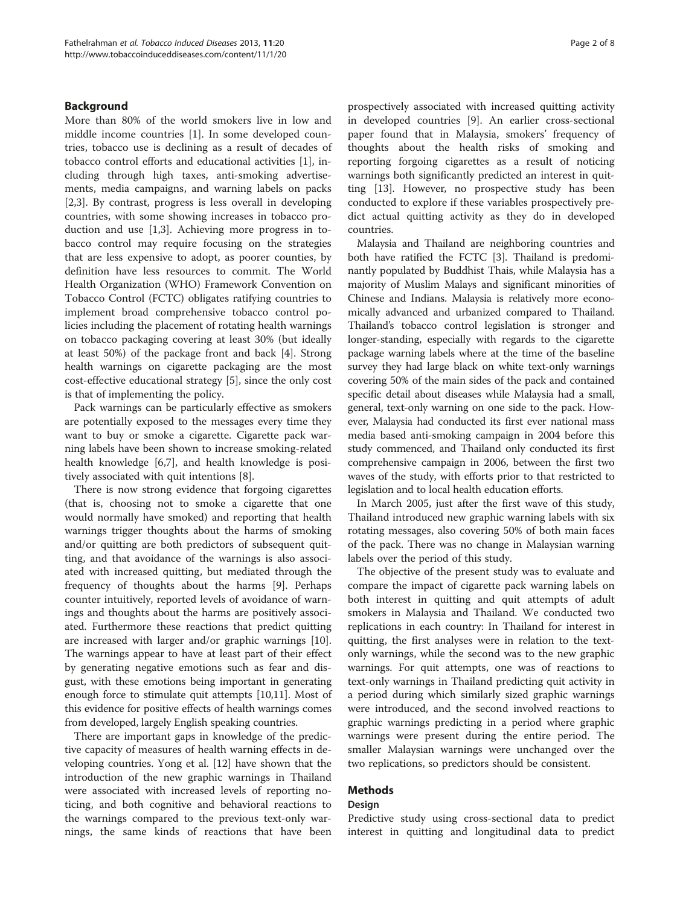## Background

More than 80% of the world smokers live in low and middle income countries [\[1](#page-7-0)]. In some developed countries, tobacco use is declining as a result of decades of tobacco control efforts and educational activities [\[1](#page-7-0)], including through high taxes, anti-smoking advertisements, media campaigns, and warning labels on packs [[2,3\]](#page-7-0). By contrast, progress is less overall in developing countries, with some showing increases in tobacco production and use [[1,3\]](#page-7-0). Achieving more progress in tobacco control may require focusing on the strategies that are less expensive to adopt, as poorer counties, by definition have less resources to commit. The World Health Organization (WHO) Framework Convention on Tobacco Control (FCTC) obligates ratifying countries to implement broad comprehensive tobacco control policies including the placement of rotating health warnings on tobacco packaging covering at least 30% (but ideally at least 50%) of the package front and back [\[4](#page-7-0)]. Strong health warnings on cigarette packaging are the most cost-effective educational strategy [[5\]](#page-7-0), since the only cost is that of implementing the policy.

Pack warnings can be particularly effective as smokers are potentially exposed to the messages every time they want to buy or smoke a cigarette. Cigarette pack warning labels have been shown to increase smoking-related health knowledge [\[6,7](#page-7-0)], and health knowledge is positively associated with quit intentions [[8\]](#page-7-0).

There is now strong evidence that forgoing cigarettes (that is, choosing not to smoke a cigarette that one would normally have smoked) and reporting that health warnings trigger thoughts about the harms of smoking and/or quitting are both predictors of subsequent quitting, and that avoidance of the warnings is also associated with increased quitting, but mediated through the frequency of thoughts about the harms [[9\]](#page-7-0). Perhaps counter intuitively, reported levels of avoidance of warnings and thoughts about the harms are positively associated. Furthermore these reactions that predict quitting are increased with larger and/or graphic warnings [\[10](#page-7-0)]. The warnings appear to have at least part of their effect by generating negative emotions such as fear and disgust, with these emotions being important in generating enough force to stimulate quit attempts [[10,11](#page-7-0)]. Most of this evidence for positive effects of health warnings comes from developed, largely English speaking countries.

There are important gaps in knowledge of the predictive capacity of measures of health warning effects in developing countries. Yong et al. [[12\]](#page-7-0) have shown that the introduction of the new graphic warnings in Thailand were associated with increased levels of reporting noticing, and both cognitive and behavioral reactions to the warnings compared to the previous text-only warnings, the same kinds of reactions that have been prospectively associated with increased quitting activity in developed countries [\[9](#page-7-0)]. An earlier cross-sectional paper found that in Malaysia, smokers' frequency of thoughts about the health risks of smoking and reporting forgoing cigarettes as a result of noticing warnings both significantly predicted an interest in quitting [[13\]](#page-7-0). However, no prospective study has been conducted to explore if these variables prospectively predict actual quitting activity as they do in developed countries.

Malaysia and Thailand are neighboring countries and both have ratified the FCTC [[3](#page-7-0)]. Thailand is predominantly populated by Buddhist Thais, while Malaysia has a majority of Muslim Malays and significant minorities of Chinese and Indians. Malaysia is relatively more economically advanced and urbanized compared to Thailand. Thailand's tobacco control legislation is stronger and longer-standing, especially with regards to the cigarette package warning labels where at the time of the baseline survey they had large black on white text-only warnings covering 50% of the main sides of the pack and contained specific detail about diseases while Malaysia had a small, general, text-only warning on one side to the pack. However, Malaysia had conducted its first ever national mass media based anti-smoking campaign in 2004 before this study commenced, and Thailand only conducted its first comprehensive campaign in 2006, between the first two waves of the study, with efforts prior to that restricted to legislation and to local health education efforts.

In March 2005, just after the first wave of this study, Thailand introduced new graphic warning labels with six rotating messages, also covering 50% of both main faces of the pack. There was no change in Malaysian warning labels over the period of this study.

The objective of the present study was to evaluate and compare the impact of cigarette pack warning labels on both interest in quitting and quit attempts of adult smokers in Malaysia and Thailand. We conducted two replications in each country: In Thailand for interest in quitting, the first analyses were in relation to the textonly warnings, while the second was to the new graphic warnings. For quit attempts, one was of reactions to text-only warnings in Thailand predicting quit activity in a period during which similarly sized graphic warnings were introduced, and the second involved reactions to graphic warnings predicting in a period where graphic warnings were present during the entire period. The smaller Malaysian warnings were unchanged over the two replications, so predictors should be consistent.

## Methods

#### Design

Predictive study using cross-sectional data to predict interest in quitting and longitudinal data to predict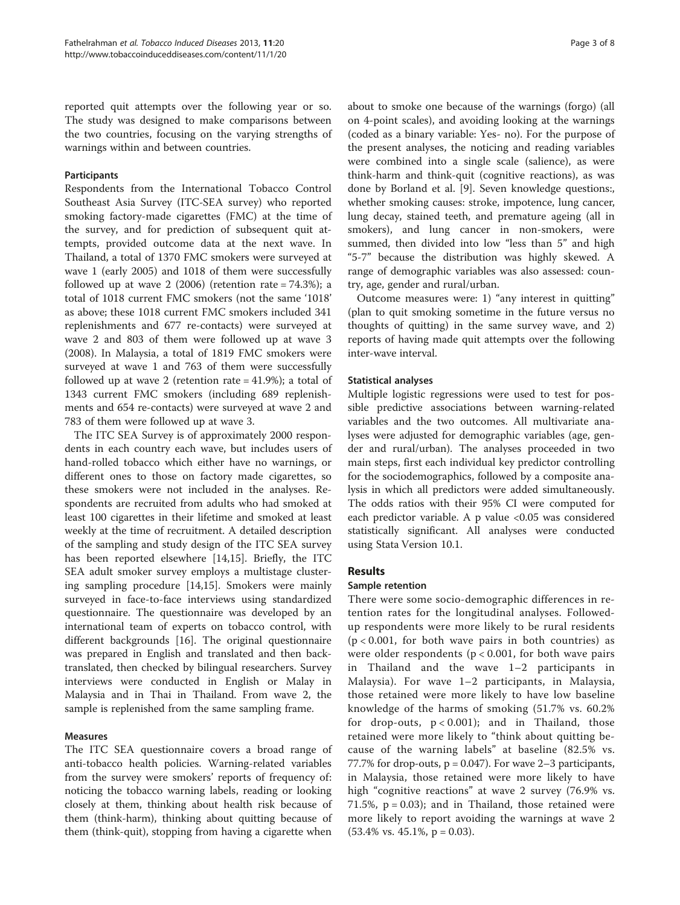reported quit attempts over the following year or so. The study was designed to make comparisons between the two countries, focusing on the varying strengths of warnings within and between countries.

### **Participants**

Respondents from the International Tobacco Control Southeast Asia Survey (ITC-SEA survey) who reported smoking factory-made cigarettes (FMC) at the time of the survey, and for prediction of subsequent quit attempts, provided outcome data at the next wave. In Thailand, a total of 1370 FMC smokers were surveyed at wave 1 (early 2005) and 1018 of them were successfully followed up at wave 2  $(2006)$  (retention rate = 74.3%); a total of 1018 current FMC smokers (not the same '1018' as above; these 1018 current FMC smokers included 341 replenishments and 677 re-contacts) were surveyed at wave 2 and 803 of them were followed up at wave 3 (2008). In Malaysia, a total of 1819 FMC smokers were surveyed at wave 1 and 763 of them were successfully followed up at wave 2 (retention rate  $=$  41.9%); a total of 1343 current FMC smokers (including 689 replenishments and 654 re-contacts) were surveyed at wave 2 and 783 of them were followed up at wave 3.

The ITC SEA Survey is of approximately 2000 respondents in each country each wave, but includes users of hand-rolled tobacco which either have no warnings, or different ones to those on factory made cigarettes, so these smokers were not included in the analyses. Respondents are recruited from adults who had smoked at least 100 cigarettes in their lifetime and smoked at least weekly at the time of recruitment. A detailed description of the sampling and study design of the ITC SEA survey has been reported elsewhere [\[14,15](#page-7-0)]. Briefly, the ITC SEA adult smoker survey employs a multistage clustering sampling procedure [\[14,15\]](#page-7-0). Smokers were mainly surveyed in face-to-face interviews using standardized questionnaire. The questionnaire was developed by an international team of experts on tobacco control, with different backgrounds [[16\]](#page-7-0). The original questionnaire was prepared in English and translated and then backtranslated, then checked by bilingual researchers. Survey interviews were conducted in English or Malay in Malaysia and in Thai in Thailand. From wave 2, the sample is replenished from the same sampling frame.

## Measures

The ITC SEA questionnaire covers a broad range of anti-tobacco health policies. Warning-related variables from the survey were smokers' reports of frequency of: noticing the tobacco warning labels, reading or looking closely at them, thinking about health risk because of them (think-harm), thinking about quitting because of them (think-quit), stopping from having a cigarette when

about to smoke one because of the warnings (forgo) (all on 4-point scales), and avoiding looking at the warnings (coded as a binary variable: Yes- no). For the purpose of the present analyses, the noticing and reading variables were combined into a single scale (salience), as were think-harm and think-quit (cognitive reactions), as was done by Borland et al. [\[9\]](#page-7-0). Seven knowledge questions:, whether smoking causes: stroke, impotence, lung cancer, lung decay, stained teeth, and premature ageing (all in smokers), and lung cancer in non-smokers, were summed, then divided into low "less than 5" and high "5-7" because the distribution was highly skewed. A range of demographic variables was also assessed: country, age, gender and rural/urban.

Outcome measures were: 1) "any interest in quitting" (plan to quit smoking sometime in the future versus no thoughts of quitting) in the same survey wave, and 2) reports of having made quit attempts over the following inter-wave interval.

### Statistical analyses

Multiple logistic regressions were used to test for possible predictive associations between warning-related variables and the two outcomes. All multivariate analyses were adjusted for demographic variables (age, gender and rural/urban). The analyses proceeded in two main steps, first each individual key predictor controlling for the sociodemographics, followed by a composite analysis in which all predictors were added simultaneously. The odds ratios with their 95% CI were computed for each predictor variable. A p value <0.05 was considered statistically significant. All analyses were conducted using Stata Version 10.1.

## Results

#### Sample retention

There were some socio-demographic differences in retention rates for the longitudinal analyses. Followedup respondents were more likely to be rural residents  $(p < 0.001$ , for both wave pairs in both countries) as were older respondents ( $p < 0.001$ , for both wave pairs in Thailand and the wave 1–2 participants in Malaysia). For wave 1–2 participants, in Malaysia, those retained were more likely to have low baseline knowledge of the harms of smoking (51.7% vs. 60.2% for drop-outs,  $p < 0.001$ ); and in Thailand, those retained were more likely to "think about quitting because of the warning labels" at baseline (82.5% vs. 77.7% for drop-outs,  $p = 0.047$ ). For wave 2-3 participants, in Malaysia, those retained were more likely to have high "cognitive reactions" at wave 2 survey (76.9% vs. 71.5%,  $p = 0.03$ ; and in Thailand, those retained were more likely to report avoiding the warnings at wave 2  $(53.4\% \text{ vs. } 45.1\%, \text{ p} = 0.03).$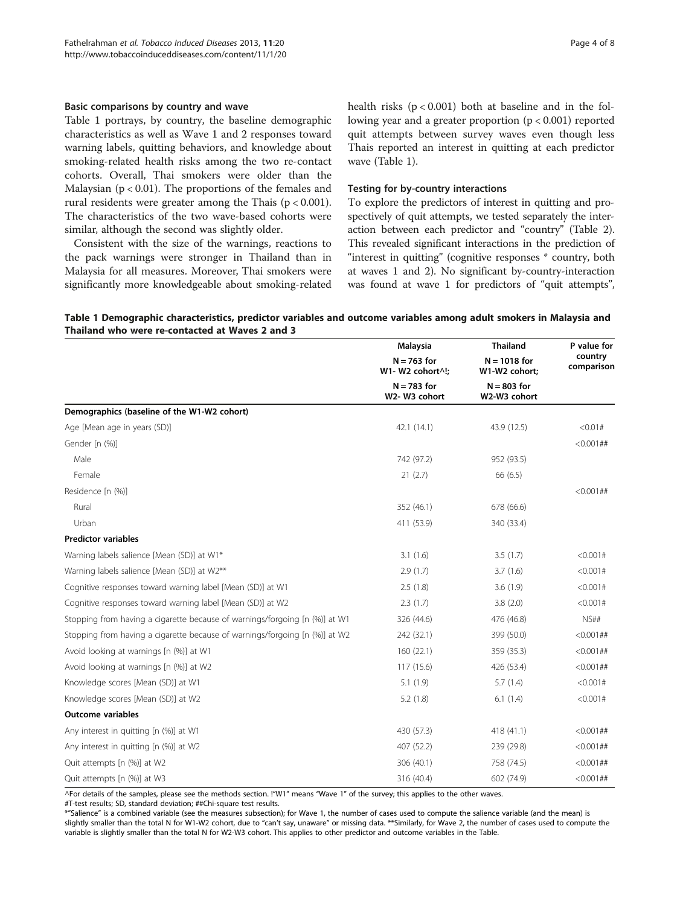Table 1 portrays, by country, the baseline demographic characteristics as well as Wave 1 and 2 responses toward warning labels, quitting behaviors, and knowledge about smoking-related health risks among the two re-contact cohorts. Overall, Thai smokers were older than the Malaysian ( $p < 0.01$ ). The proportions of the females and rural residents were greater among the Thais ( $p < 0.001$ ). The characteristics of the two wave-based cohorts were similar, although the second was slightly older.

Consistent with the size of the warnings, reactions to the pack warnings were stronger in Thailand than in Malaysia for all measures. Moreover, Thai smokers were significantly more knowledgeable about smoking-related health risks  $(p < 0.001)$  both at baseline and in the following year and a greater proportion (p < 0.001) reported quit attempts between survey waves even though less Thais reported an interest in quitting at each predictor wave (Table 1).

#### Testing for by-country interactions

To explore the predictors of interest in quitting and prospectively of quit attempts, we tested separately the interaction between each predictor and "country" (Table [2](#page-4-0)). This revealed significant interactions in the prediction of "interest in quitting" (cognitive responses \* country, both at waves 1 and 2). No significant by-country-interaction was found at wave 1 for predictors of "quit attempts",

#### Table 1 Demographic characteristics, predictor variables and outcome variables among adult smokers in Malaysia and Thailand who were re-contacted at Waves 2 and 3

|                                                                             | <b>Malaysia</b>                   | <b>Thailand</b>                 | P value for<br>country<br>comparisor |
|-----------------------------------------------------------------------------|-----------------------------------|---------------------------------|--------------------------------------|
|                                                                             | $N = 763$ for<br>W1- W2 cohort^!; | $N = 1018$ for<br>W1-W2 cohort; |                                      |
|                                                                             | $N = 783$ for<br>W2-W3 cohort     | $N = 803$ for<br>W2-W3 cohort   |                                      |
| Demographics (baseline of the W1-W2 cohort)                                 |                                   |                                 |                                      |
| Age [Mean age in years (SD)]                                                | 42.1 (14.1)                       | 43.9 (12.5)                     | < 0.01#                              |
| Gender [n (%)]                                                              |                                   |                                 | $<0.001$ ##                          |
| Male                                                                        | 742 (97.2)                        | 952 (93.5)                      |                                      |
| Female                                                                      | 21(2.7)                           | 66 (6.5)                        |                                      |
| Residence [n (%)]                                                           |                                   |                                 | $<0.001$ ##                          |
| Rural                                                                       | 352 (46.1)                        | 678 (66.6)                      |                                      |
| Urban                                                                       | 411 (53.9)                        | 340 (33.4)                      |                                      |
| <b>Predictor variables</b>                                                  |                                   |                                 |                                      |
| Warning labels salience [Mean (SD)] at W1*                                  | 3.1(1.6)                          | 3.5(1.7)                        | < 0.001#                             |
| Warning labels salience [Mean (SD)] at W2**                                 | 2.9(1.7)                          | 3.7(1.6)                        | <0.001#                              |
| Cognitive responses toward warning label [Mean (SD)] at W1                  | 2.5(1.8)                          | 3.6(1.9)                        | < 0.001#                             |
| Cognitive responses toward warning label [Mean (SD)] at W2                  | 2.3(1.7)                          | 3.8(2.0)                        | < 0.001#                             |
| Stopping from having a cigarette because of warnings/forgoing [n (%)] at W1 | 326 (44.6)                        | 476 (46.8)                      | NS##                                 |
| Stopping from having a cigarette because of warnings/forgoing [n (%)] at W2 | 242 (32.1)                        | 399 (50.0)                      | $<0.001$ ##                          |
| Avoid looking at warnings [n (%)] at W1                                     | 160 (22.1)                        | 359 (35.3)                      | $<0.001$ ##                          |
| Avoid looking at warnings [n (%)] at W2                                     | 117 (15.6)                        | 426 (53.4)                      | $<0.001$ ##                          |
| Knowledge scores [Mean (SD)] at W1                                          | 5.1(1.9)                          | 5.7(1.4)                        | < 0.001#                             |
| Knowledge scores [Mean (SD)] at W2                                          | 5.2(1.8)                          | 6.1(1.4)                        | < 0.001#                             |
| <b>Outcome variables</b>                                                    |                                   |                                 |                                      |
| Any interest in quitting [n (%)] at W1                                      | 430 (57.3)                        | 418 (41.1)                      | $<0.001$ ##                          |
| Any interest in quitting [n (%)] at W2                                      | 407 (52.2)                        | 239 (29.8)                      | $<0.001$ ##                          |
| Quit attempts [n (%)] at W2                                                 | 306 (40.1)                        | 758 (74.5)                      | $<0.001$ ##                          |
| Quit attempts [n (%)] at W3                                                 | 316 (40.4)                        | 602 (74.9)                      | $<0.001$ ##                          |

^For details of the samples, please see the methods section. !"W1" means "Wave 1" of the survey; this applies to the other waves.

#T-test results; SD, standard deviation; ##Chi-square test results.

\*"Salience" is a combined variable (see the measures subsection); for Wave 1, the number of cases used to compute the salience variable (and the mean) is slightly smaller than the total N for W1-W2 cohort, due to "can't say, unaware" or missing data. \*\*Similarly, for Wave 2, the number of cases used to compute the variable is slightly smaller than the total N for W2-W3 cohort. This applies to other predictor and outcome variables in the Table.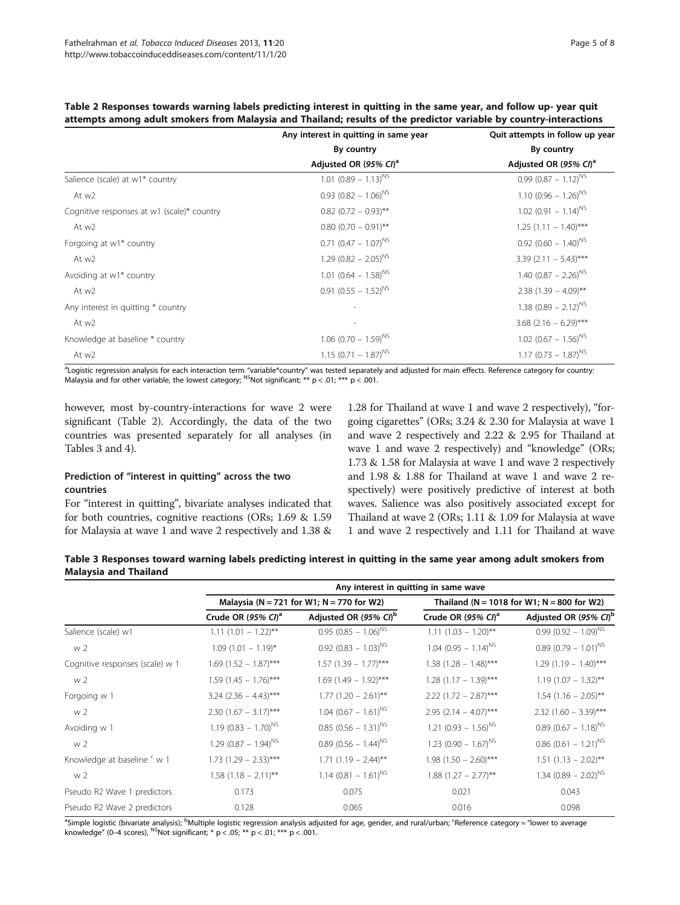|                                            | Any interest in quitting in same year | Quit attempts in follow up year    |  |  |
|--------------------------------------------|---------------------------------------|------------------------------------|--|--|
|                                            | By country                            | By country                         |  |  |
|                                            | Adjusted OR (95% CI) <sup>a</sup>     | Adjusted OR (95% CI) <sup>a</sup>  |  |  |
| Salience (scale) at w1* country            | $1.01 (0.89 - 1.13)^{NS}$             | $0.99(0.87 - 1.12)^{NS}$           |  |  |
| At w2                                      | $0.93 (0.82 - 1.06)^{NS}$             | $1.10 (0.96 - 1.26)^{NS}$          |  |  |
| Cognitive responses at w1 (scale)* country | $0.82$ (0.72 - 0.93)**                | $1.02$ (0.91 - 1.14) <sup>NS</sup> |  |  |
| At w2                                      | $0.80$ (0.70 - 0.91)**                | $1.25$ (1.11 - 1.40)***            |  |  |
| Forgoing at w1* country                    | $0.71 (0.47 - 1.07)^{NS}$             | $0.92$ (0.60 - 1.40) <sup>NS</sup> |  |  |
| At w2                                      | $1.29$ (0.82 - 2.05) <sup>NS</sup>    | 3.39 $(2.11 - 5.43)$ ***           |  |  |
| Avoiding at w1* country                    | 1.01 $(0.64 - 1.58)^{NS}$             | 1.40 $(0.87 - 2.26)^{NS}$          |  |  |
| At w2                                      | $0.91 (0.55 - 1.52)^{NS}$             | $2.38$ (1.39 - 4.09)**             |  |  |
| Any interest in quitting * country         |                                       | $1.38$ (0.89 – 2.12) <sup>NS</sup> |  |  |
| At w2                                      | $\overline{\phantom{a}}$              | 3.68 $(2.16 - 6.29)$ ***           |  |  |
| Knowledge at baseline * country            | $1.06$ (0.70 - 1.59) <sup>NS</sup>    | $1.02$ (0.67 - 1.56) <sup>NS</sup> |  |  |
| At w2                                      | $1.15(0.71 - 1.87)^{NS}$              | $1.17 (0.73 - 1.87)^{NS}$          |  |  |

<span id="page-4-0"></span>Table 2 Responses towards warning labels predicting interest in quitting in the same year, and follow up- year quit attempts among adult smokers from Malaysia and Thailand; results of the predictor variable by country-interactions

a<br>Logistic regression analysis for each interaction term "variable\*country" was tested separately and adjusted for main effects. Reference category for country: Malaysia and for other variable, the lowest category; <sup>NS</sup>Not significant; \*\*  $p < .01$ ; \*\*\*  $p < .001$ .

however, most by-country-interactions for wave 2 were significant (Table 2). Accordingly, the data of the two countries was presented separately for all analyses (in Tables 3 and [4](#page-5-0)).

## Prediction of "interest in quitting" across the two countries

For "interest in quitting", bivariate analyses indicated that for both countries, cognitive reactions (ORs; 1.69 & 1.59 for Malaysia at wave 1 and wave 2 respectively and 1.38 &

1.28 for Thailand at wave 1 and wave 2 respectively), "forgoing cigarettes" (ORs; 3.24 & 2.30 for Malaysia at wave 1 and wave 2 respectively and 2.22 & 2.95 for Thailand at wave 1 and wave 2 respectively) and "knowledge" (ORs; 1.73 & 1.58 for Malaysia at wave 1 and wave 2 respectively and 1.98 & 1.88 for Thailand at wave 1 and wave 2 respectively) were positively predictive of interest at both waves. Salience was also positively associated except for Thailand at wave 2 (ORs; 1.11 & 1.09 for Malaysia at wave 1 and wave 2 respectively and 1.11 for Thailand at wave

| Table 3 Responses toward warning labels predicting interest in quitting in the same year among adult smokers from |  |  |  |
|-------------------------------------------------------------------------------------------------------------------|--|--|--|
| <b>Malavsia and Thailand</b>                                                                                      |  |  |  |

|                                 | Any interest in quitting in same wave     |                                      |                                            |                                    |  |
|---------------------------------|-------------------------------------------|--------------------------------------|--------------------------------------------|------------------------------------|--|
|                                 | Malaysia (N = 721 for W1; N = 770 for W2) |                                      | Thailand (N = 1018 for W1; N = 800 for W2) |                                    |  |
|                                 | Crude OR $(95\% \text{ Cl})^a$            | Adjusted OR (95% CI) <sup>b</sup>    | Crude OR $(95\% \text{ Cl})^a$             | Adjusted OR (95% CI) <sup>b</sup>  |  |
| Salience (scale) w1             | $1.11(1.01 - 1.22)$ **                    | $0.95(0.85 - 1.06)^{NS}$             | $1.11 (1.03 - 1.20)$ **                    | $0.99(0.92 - 1.09)^{NS}$           |  |
| w <sub>2</sub>                  | $1.09(1.01 - 1.19)^{*}$                   | $0.92$ (0.83 - 1.03) <sup>NS</sup>   | $1.04$ (0.95 - 1.14) <sup>NS</sup>         | $0.89(0.79 - 1.01)^{NS}$           |  |
| Cognitive responses (scale) w 1 | $1.69$ (1.52 - 1.87)***                   | $1.57$ (1.39 - 1.77)***              | $1.38$ (1.28 - 1.48)***                    | $1.29(1.19 - 1.40)$ ***            |  |
| w <sub>2</sub>                  | $1.59(1.45 - 1.76)$ ***                   | $1.69$ (1.49 - 1.92)***              | $1.28$ (1.17 - 1.39)***                    | $1.19$ (1.07 - 1.32)**             |  |
| Forgoing w 1                    | $3.24$ (2.36 - 4.43)***                   | $1.77$ (1.20 - 2.61)**               | $2.22$ (1.72 - 2.87)***                    | $1.54$ (1.16 - 2.05)**             |  |
| w <sub>2</sub>                  | $2.30(1.67 - 3.17)$ ***                   | $1.04$ (0.67 – 1.61) <sup>NS</sup>   | $2.95$ (2.14 - 4.07)***                    | $2.32$ (1.60 - 3.39)***            |  |
| Avoiding w 1                    | $1.19$ (0.83 - 1.70) <sup>NS</sup>        | $0.85$ (0.56 - 1.31) <sup>NS</sup>   | $1.21 (0.93 - 1.56)^{NS}$                  | $0.89$ (0.67 - 1.18) <sup>NS</sup> |  |
| w <sub>2</sub>                  | $1.29$ (0.87 - 1.94) <sup>NS</sup>        | $0.89$ (0.56 - 1.44) <sup>NS</sup>   | $1.23$ (0.90 - 1.67) <sup>NS</sup>         | $0.86$ (0.61 - 1.21) <sup>NS</sup> |  |
| Knowledge at baseline ° w 1     | $1.73$ (1.29 - 2.33)***                   | $1.71$ $(1.19 - 2.44)$ <sup>**</sup> | $1.98$ (1.50 - 2.60)***                    | $1.51$ $(1.13 - 2.02)$ **          |  |
| w <sub>2</sub>                  | $1.58(1.18 - 2.11)$ **                    | $1.14$ (0.81 - 1.61) <sup>NS</sup>   | $1.88$ (1.27 - 2.77)**                     | 1.34 $(0.89 - 2.02)^{NS}$          |  |
| Pseudo R2 Wave 1 predictors     | 0.173                                     | 0.075                                | 0.021                                      | 0.043                              |  |
| Pseudo R2 Wave 2 predictors     | 0.128                                     | 0.065                                | 0.016                                      | 0.098                              |  |

<sup>a</sup>Simple logistic (bivariate analysis); <sup>b</sup>Multiple logistic regression analysis adjusted for age, gender, and rural/urban; <sup>c</sup>Reference category = "lower to average knowledge" (0-4 scores), <sup>NS</sup>Not significant; \* p < .05; \*\* p < .01; \*\*\* p < .001.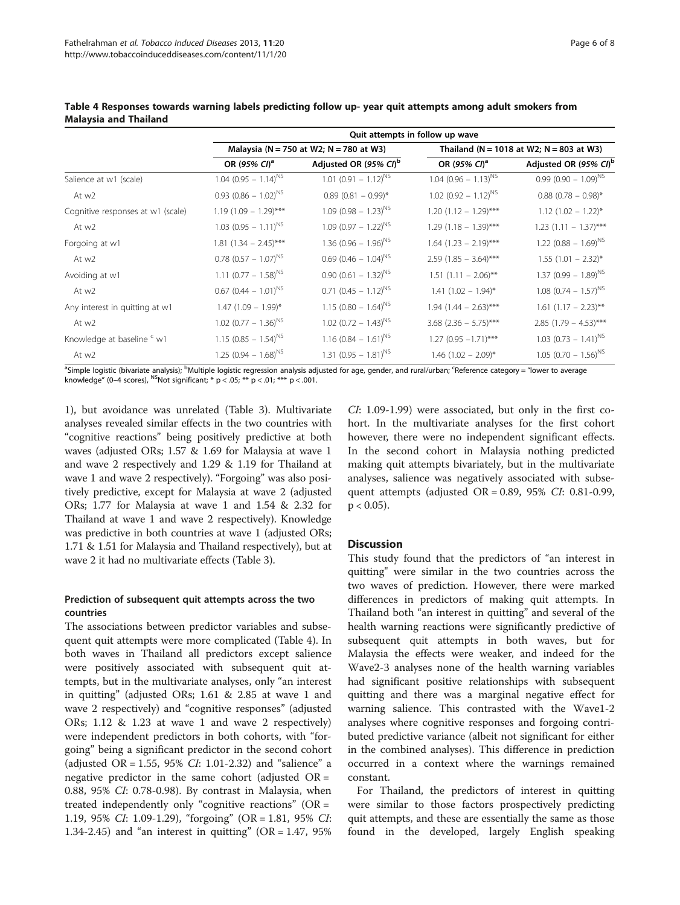|                                   | Quit attempts in follow up wave    |                                              |                                               |                                    |  |
|-----------------------------------|------------------------------------|----------------------------------------------|-----------------------------------------------|------------------------------------|--|
|                                   |                                    | Malaysia ( $N = 750$ at W2; $N = 780$ at W3) | Thailand ( $N = 1018$ at W2; $N = 803$ at W3) |                                    |  |
|                                   | OR (95% CI) <sup>a</sup>           | Adjusted OR (95% CI) <sup>b</sup>            | OR (95% CI) <sup>a</sup>                      | Adjusted OR (95% CI) <sup>b</sup>  |  |
| Salience at w1 (scale)            | $1.04$ (0.95 - 1.14) <sup>NS</sup> | $1.01 (0.91 - 1.12)^{NS}$                    | $1.04$ (0.96 – 1.13) <sup>NS</sup>            | $0.99(0.90 - 1.09)^{NS}$           |  |
| At w2                             | $0.93$ (0.86 - 1.02) <sup>NS</sup> | $0.89$ (0.81 - 0.99)*                        | $1.02$ (0.92 - 1.12) <sup>NS</sup>            | $0.88$ (0.78 - 0.98)*              |  |
| Cognitive responses at w1 (scale) | $1.19$ (1.09 - 1.29)***            | $1.09(0.98 - 1.23)^{NS}$                     | $1.20$ (1.12 - 1.29)***                       | $1.12$ $(1.02 - 1.22)^{*}$         |  |
| At w2                             | $1.03$ (0.95 - 1.11) <sup>NS</sup> | $1.09(0.97 - 1.22)^{NS}$                     | $1.29$ (1.18 - 1.39)***                       | $1.23$ (1.11 - 1.37)***            |  |
| Forgoing at w1                    | $1.81$ $(1.34 - 2.45)$ ***         | 1.36 $(0.96 - 1.96)^{NS}$                    | $1.64$ (1.23 - 2.19)***                       | $1.22$ (0.88 - 1.69) <sup>NS</sup> |  |
| At w2                             | $0.78$ (0.57 - 1.07) <sup>NS</sup> | $0.69$ (0.46 - 1.04) <sup>NS</sup>           | $2.59$ (1.85 - 3.64)***                       | $1.55$ (1.01 - 2.32)*              |  |
| Avoiding at w1                    | 1.11 $(0.77 - 1.58)^{NS}$          | $0.90 (0.61 - 1.32)^{NS}$                    | $1.51$ (1.11 - 2.06)**                        | $1.37 (0.99 - 1.89)^{N5}$          |  |
| At w2                             | $0.67$ (0.44 – 1.01) <sup>NS</sup> | $0.71 (0.45 - 1.12)^{NS}$                    | $1.41$ $(1.02 - 1.94)^*$                      | $1.08$ (0.74 – 1.57) <sup>NS</sup> |  |
| Any interest in quitting at w1    | $1.47$ (1.09 - 1.99)*              | $1.15$ (0.80 - 1.64) <sup>NS</sup>           | $1.94$ (1.44 – 2.63)***                       | $1.61$ $(1.17 - 2.23)$ **          |  |
| At w2                             | $1.02$ (0.77 - 1.36) <sup>NS</sup> | $1.02$ (0.72 - 1.43) <sup>NS</sup>           | $3.68$ (2.36 - 5.75)***                       | 2.85 $(1.79 - 4.53)$ ***           |  |
| Knowledge at baseline c w1        | $1.15$ (0.85 - 1.54) <sup>NS</sup> | $1.16$ (0.84 – 1.61) <sup>NS</sup>           | $1.27$ (0.95 $-1.71$ )***                     | $1.03$ (0.73 - 1.41) <sup>NS</sup> |  |
| At w2                             | $1.25$ (0.94 - 1.68) <sup>NS</sup> | 1.31 $(0.95 - 1.81)^{NS}$                    | $1.46$ (1.02 - 2.09)*                         | $1.05$ (0.70 - 1.56) <sup>NS</sup> |  |

<span id="page-5-0"></span>Table 4 Responses towards warning labels predicting follow up- year quit attempts among adult smokers from Malaysia and Thailand

<sup>a</sup>Simple logistic (bivariate analysis); <sup>b</sup>Multiple logistic regression analysis adjusted for age, gender, and rural/urban; <sup>c</sup>Reference category = "lower to average knowledge" (0–4 scores), <sup>NS</sup>Not significant; \* p < .05; \*\* p < .01; \*\*\* p < .001.

1), but avoidance was unrelated (Table [3\)](#page-4-0). Multivariate analyses revealed similar effects in the two countries with "cognitive reactions" being positively predictive at both waves (adjusted ORs; 1.57 & 1.69 for Malaysia at wave 1 and wave 2 respectively and 1.29 & 1.19 for Thailand at wave 1 and wave 2 respectively). "Forgoing" was also positively predictive, except for Malaysia at wave 2 (adjusted ORs; 1.77 for Malaysia at wave 1 and 1.54 & 2.32 for Thailand at wave 1 and wave 2 respectively). Knowledge was predictive in both countries at wave 1 (adjusted ORs; 1.71 & 1.51 for Malaysia and Thailand respectively), but at wave 2 it had no multivariate effects (Table [3\)](#page-4-0).

## Prediction of subsequent quit attempts across the two countries

The associations between predictor variables and subsequent quit attempts were more complicated (Table 4). In both waves in Thailand all predictors except salience were positively associated with subsequent quit attempts, but in the multivariate analyses, only "an interest in quitting" (adjusted ORs; 1.61 & 2.85 at wave 1 and wave 2 respectively) and "cognitive responses" (adjusted ORs; 1.12 & 1.23 at wave 1 and wave 2 respectively) were independent predictors in both cohorts, with "forgoing" being a significant predictor in the second cohort (adjusted OR = 1.55, 95% CI: 1.01-2.32) and "salience" a negative predictor in the same cohort (adjusted  $OR =$ 0.88, 95% CI: 0.78-0.98). By contrast in Malaysia, when treated independently only "cognitive reactions" (OR = 1.19, 95% CI: 1.09-1.29), "forgoing" (OR = 1.81, 95% CI: 1.34-2.45) and "an interest in quitting" ( $OR = 1.47$ , 95%)

CI: 1.09-1.99) were associated, but only in the first cohort. In the multivariate analyses for the first cohort however, there were no independent significant effects. In the second cohort in Malaysia nothing predicted making quit attempts bivariately, but in the multivariate analyses, salience was negatively associated with subsequent attempts (adjusted OR = 0.89, 95% CI: 0.81-0.99,  $p < 0.05$ ).

## **Discussion**

This study found that the predictors of "an interest in quitting" were similar in the two countries across the two waves of prediction. However, there were marked differences in predictors of making quit attempts. In Thailand both "an interest in quitting" and several of the health warning reactions were significantly predictive of subsequent quit attempts in both waves, but for Malaysia the effects were weaker, and indeed for the Wave2-3 analyses none of the health warning variables had significant positive relationships with subsequent quitting and there was a marginal negative effect for warning salience. This contrasted with the Wave1-2 analyses where cognitive responses and forgoing contributed predictive variance (albeit not significant for either in the combined analyses). This difference in prediction occurred in a context where the warnings remained constant.

For Thailand, the predictors of interest in quitting were similar to those factors prospectively predicting quit attempts, and these are essentially the same as those found in the developed, largely English speaking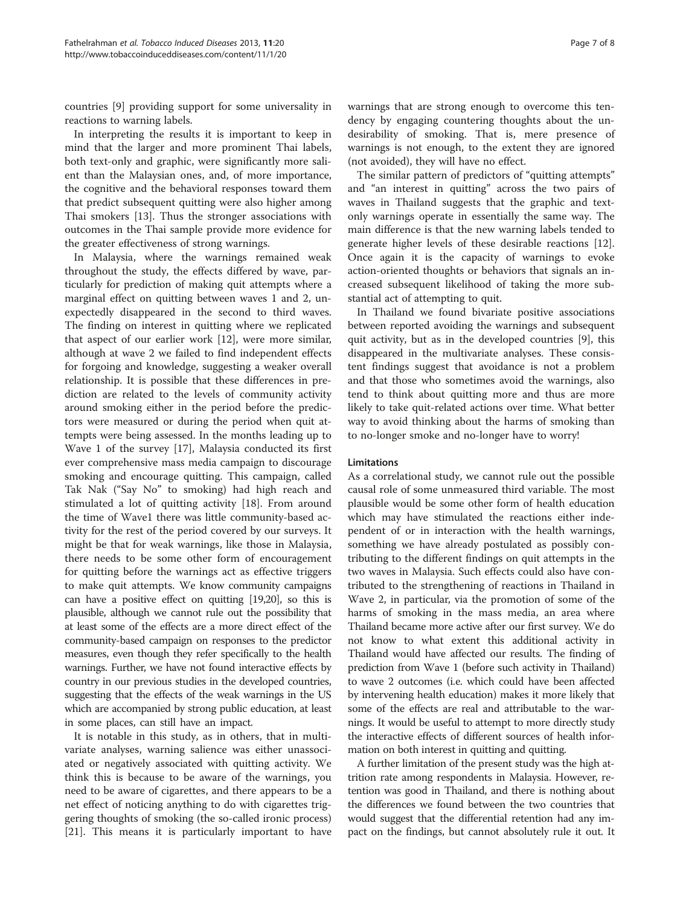countries [\[9](#page-7-0)] providing support for some universality in reactions to warning labels.

In interpreting the results it is important to keep in mind that the larger and more prominent Thai labels, both text-only and graphic, were significantly more salient than the Malaysian ones, and, of more importance, the cognitive and the behavioral responses toward them that predict subsequent quitting were also higher among Thai smokers [[13](#page-7-0)]. Thus the stronger associations with outcomes in the Thai sample provide more evidence for the greater effectiveness of strong warnings.

In Malaysia, where the warnings remained weak throughout the study, the effects differed by wave, particularly for prediction of making quit attempts where a marginal effect on quitting between waves 1 and 2, unexpectedly disappeared in the second to third waves. The finding on interest in quitting where we replicated that aspect of our earlier work [[12](#page-7-0)], were more similar, although at wave 2 we failed to find independent effects for forgoing and knowledge, suggesting a weaker overall relationship. It is possible that these differences in prediction are related to the levels of community activity around smoking either in the period before the predictors were measured or during the period when quit attempts were being assessed. In the months leading up to Wave 1 of the survey [\[17](#page-7-0)], Malaysia conducted its first ever comprehensive mass media campaign to discourage smoking and encourage quitting. This campaign, called Tak Nak ("Say No" to smoking) had high reach and stimulated a lot of quitting activity [[18\]](#page-7-0). From around the time of Wave1 there was little community-based activity for the rest of the period covered by our surveys. It might be that for weak warnings, like those in Malaysia, there needs to be some other form of encouragement for quitting before the warnings act as effective triggers to make quit attempts. We know community campaigns can have a positive effect on quitting [\[19,20](#page-7-0)], so this is plausible, although we cannot rule out the possibility that at least some of the effects are a more direct effect of the community-based campaign on responses to the predictor measures, even though they refer specifically to the health warnings. Further, we have not found interactive effects by country in our previous studies in the developed countries, suggesting that the effects of the weak warnings in the US which are accompanied by strong public education, at least in some places, can still have an impact.

It is notable in this study, as in others, that in multivariate analyses, warning salience was either unassociated or negatively associated with quitting activity. We think this is because to be aware of the warnings, you need to be aware of cigarettes, and there appears to be a net effect of noticing anything to do with cigarettes triggering thoughts of smoking (the so-called ironic process) [[21\]](#page-7-0). This means it is particularly important to have warnings that are strong enough to overcome this tendency by engaging countering thoughts about the undesirability of smoking. That is, mere presence of warnings is not enough, to the extent they are ignored (not avoided), they will have no effect.

The similar pattern of predictors of "quitting attempts" and "an interest in quitting" across the two pairs of waves in Thailand suggests that the graphic and textonly warnings operate in essentially the same way. The main difference is that the new warning labels tended to generate higher levels of these desirable reactions [\[12](#page-7-0)]. Once again it is the capacity of warnings to evoke action-oriented thoughts or behaviors that signals an increased subsequent likelihood of taking the more substantial act of attempting to quit.

In Thailand we found bivariate positive associations between reported avoiding the warnings and subsequent quit activity, but as in the developed countries [\[9](#page-7-0)], this disappeared in the multivariate analyses. These consistent findings suggest that avoidance is not a problem and that those who sometimes avoid the warnings, also tend to think about quitting more and thus are more likely to take quit-related actions over time. What better way to avoid thinking about the harms of smoking than to no-longer smoke and no-longer have to worry!

#### Limitations

As a correlational study, we cannot rule out the possible causal role of some unmeasured third variable. The most plausible would be some other form of health education which may have stimulated the reactions either independent of or in interaction with the health warnings, something we have already postulated as possibly contributing to the different findings on quit attempts in the two waves in Malaysia. Such effects could also have contributed to the strengthening of reactions in Thailand in Wave 2, in particular, via the promotion of some of the harms of smoking in the mass media, an area where Thailand became more active after our first survey. We do not know to what extent this additional activity in Thailand would have affected our results. The finding of prediction from Wave 1 (before such activity in Thailand) to wave 2 outcomes (i.e. which could have been affected by intervening health education) makes it more likely that some of the effects are real and attributable to the warnings. It would be useful to attempt to more directly study the interactive effects of different sources of health information on both interest in quitting and quitting.

A further limitation of the present study was the high attrition rate among respondents in Malaysia. However, retention was good in Thailand, and there is nothing about the differences we found between the two countries that would suggest that the differential retention had any impact on the findings, but cannot absolutely rule it out. It